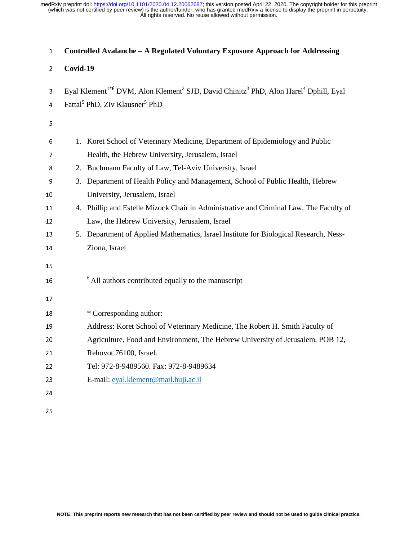| $\mathbf{1}$    | Controlled Avalanche - A Regulated Voluntary Exposure Approach for Addressing                                                        |  |  |  |  |  |  |
|-----------------|--------------------------------------------------------------------------------------------------------------------------------------|--|--|--|--|--|--|
| 2               | Covid-19                                                                                                                             |  |  |  |  |  |  |
| 3               | Eyal Klement <sup>1*f</sup> DVM, Alon Klement <sup>2</sup> SJD, David Chinitz <sup>3</sup> PhD, Alon Harel <sup>4</sup> Dphill, Eyal |  |  |  |  |  |  |
| 4               | Fattal <sup>5</sup> PhD, Ziv Klausner <sup>5</sup> PhD                                                                               |  |  |  |  |  |  |
| 5               |                                                                                                                                      |  |  |  |  |  |  |
| 6               | 1. Koret School of Veterinary Medicine, Department of Epidemiology and Public                                                        |  |  |  |  |  |  |
| 7               | Health, the Hebrew University, Jerusalem, Israel                                                                                     |  |  |  |  |  |  |
| 8               | 2. Buchmann Faculty of Law, Tel-Aviv University, Israel                                                                              |  |  |  |  |  |  |
| 9               | Department of Health Policy and Management, School of Public Health, Hebrew<br>3.                                                    |  |  |  |  |  |  |
| 10              | University, Jerusalem, Israel                                                                                                        |  |  |  |  |  |  |
| 11              | 4. Phillip and Estelle Mizock Chair in Administrative and Criminal Law, The Faculty of                                               |  |  |  |  |  |  |
| 12              | Law, the Hebrew University, Jerusalem, Israel                                                                                        |  |  |  |  |  |  |
| 13              | 5. Department of Applied Mathematics, Israel Institute for Biological Research, Ness-                                                |  |  |  |  |  |  |
| 14              | Ziona, Israel                                                                                                                        |  |  |  |  |  |  |
| 15              |                                                                                                                                      |  |  |  |  |  |  |
| 16              | $\frac{1}{k}$ All authors contributed equally to the manuscript                                                                      |  |  |  |  |  |  |
|                 |                                                                                                                                      |  |  |  |  |  |  |
| 17              |                                                                                                                                      |  |  |  |  |  |  |
| 18              | * Corresponding author:                                                                                                              |  |  |  |  |  |  |
| 19              | Address: Koret School of Veterinary Medicine, The Robert H. Smith Faculty of                                                         |  |  |  |  |  |  |
| 20              | Agriculture, Food and Environment, The Hebrew University of Jerusalem, POB 12,                                                       |  |  |  |  |  |  |
| $\overline{21}$ | Rehovot 76100, Israel.                                                                                                               |  |  |  |  |  |  |
| 22              | Tel: 972-8-9489560. Fax: 972-8-9489634                                                                                               |  |  |  |  |  |  |
| 23              | E-mail: eyal.klement@mail.huji.ac.il                                                                                                 |  |  |  |  |  |  |
| 24              |                                                                                                                                      |  |  |  |  |  |  |
|                 |                                                                                                                                      |  |  |  |  |  |  |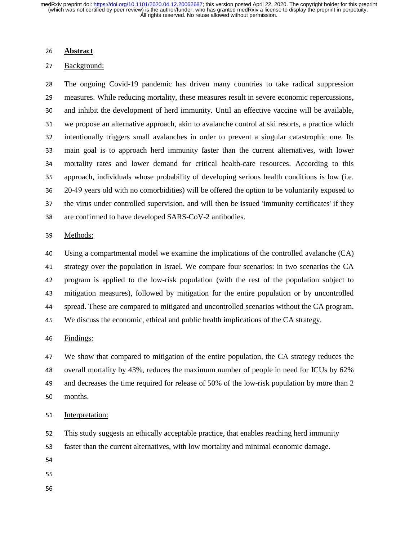#### <sup>26</sup>**Abstract**

## 27 Background:

<sup>28</sup>The ongoing Covid-19 pandemic has driven many countries to take radical suppression 29 measures. While reducing mortality, these measures result in severe economic repercussions, 30 and inhibit the development of herd immunity. Until an effective vaccine will be available, <sup>31</sup>we propose an alternative approach, akin to avalanche control at ski resorts, a practice which 32 intentionally triggers small avalanches in order to prevent a singular catastrophic one. Its<br>33 main goal is to approach herd immunity faster than the current alternatives, with lower main goal is to approach herd immunity faster than the current alternatives, with lower <sup>34</sup>mortality rates and lower demand for critical health-care resources. According to this 35 approach, individuals whose probability of developing serious health conditions is low (i.e. 36 20-49 years old with no comorbidities) will be offered the option to be voluntarily exposed to<br>37 the virus under controlled supervision, and will then be issued 'immunity certificates' if they the virus under controlled supervision, and will then be issued 'immunity certificates' if they 38 are confirmed to have developed SARS-CoV-2 antibodies.

#### 39 Methods:

40 Using a compartmental model we examine the implications of the controlled avalanche (CA)<br>41 strategy over the population in Israel. We compare four scenarios: in two scenarios the CA strategy over the population in Israel. We compare four scenarios: in two scenarios the CA 42 program is applied to the low-risk population (with the rest of the population subject to<br>43 mitigation measures), followed by mitigation for the entire population or by uncontrolled mitigation measures), followed by mitigation for the entire population or by uncontrolled <sup>44</sup>spread. These are compared to mitigated and uncontrolled scenarios without the CA program. <sup>45</sup>We discuss the economic, ethical and public health implications of the CA strategy.

#### 46 Findings:

<sup>47</sup>We show that compared to mitigation of the entire population, the CA strategy reduces the 48 overall mortality by 43%, reduces the maximum number of people in need for ICUs by 62% 49 and decreases the time required for release of 50% of the low-risk population by more than 2 50 months.

#### 51 Interpretation:

- 52 This study suggests an ethically acceptable practice, that enables reaching herd immunity<br>53 faster than the current alternatives, with low mortality and minimal economic damage.
- faster than the current alternatives, with low mortality and minimal economic damage.
- 54
- 
- 55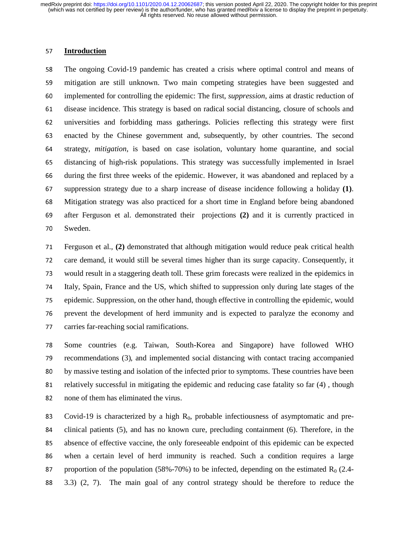#### <sup>57</sup>**Introduction**

The ongoing Covid-19 pandemic has created a crisis where optimal control and means of mitigation are still unknown. Two main competing strategies have been suggested and implemented for controlling the epidemic: The first, *suppression*, aims at drastic reduction of 61 disease incidence. This strategy is based on radical social distancing, closure of schools and universities and forbidding mass gatherings. Policies reflecting this strategy were first enacted by the Chinese government and, subsequently, by other countries. The second strategy, *mitigation*, is based on case isolation, voluntary home quarantine, and social distancing of high-risk populations. This strategy was successfully implemented in Israel 66 during the first three weeks of the epidemic. However, it was abandoned and replaced by a suppression strategy due to a sharp increase of disease incidence following a holiday **(1)**. Mitigation strategy was also practiced for a short time in England before being abandoned after Ferguson et al. demonstrated their projections **(2)** and it is currently practiced in 70 Sweden.

71 Ferguson et al., (2) demonstrated that although mitigation would reduce peak critical health 72 care demand, it would still be several times higher than its surge capacity. Consequently, it<br>73 would result in a staggering death toll. These grim forecasts were realized in the epidemics in would result in a staggering death toll. These grim forecasts were realized in the epidemics in 74 Italy, Spain, France and the US, which shifted to suppression only during late stages of the 75 epidemic. Suppression, on the other hand, though effective in controlling the epidemic, would 76 prevent the development of herd immunity and is expected to paralyze the economy and 77 carries far-reaching social ramifications.

78 Some countries (e.g. Taiwan, South-Korea and Singapore) have followed WHO 79 recommendations (3), and implemented social distancing with contact tracing accompanied<br>80 by massive testing and isolation of the infected prior to symptoms. These countries have been by massive testing and isolation of the infected prior to symptoms. These countries have been 81 relatively successful in mitigating the epidemic and reducing case fatality so far (4), though 82 none of them has eliminated the virus.

83 Covid-19 is characterized by a high  $R_0$ , probable infectiousness of asymptomatic and pre-84 clinical patients (5), and has no known cure, precluding containment (6). Therefore, in the 85 absence of effective vaccine, the only foreseeable endpoint of this epidemic can be expected <sup>86</sup>when a certain level of herd immunity is reached. Such a condition requires a large 87 proportion of the population (58%-70%) to be infected, depending on the estimated  $R_0$  (2.4-<sup>88</sup>3.3) (2, 7). The main goal of any control strategy should be therefore to reduce the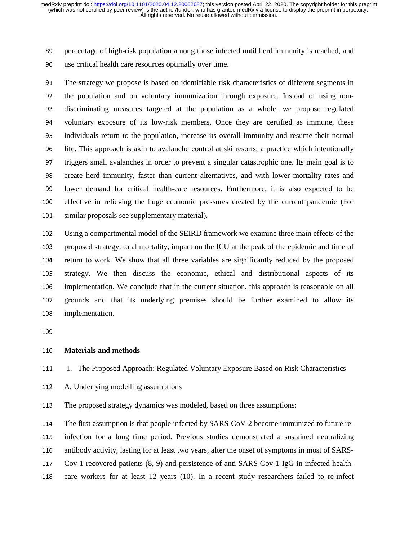89 percentage of high-risk population among those infected until herd immunity is reached, and 90 use critical health care resources optimally over time.

91 The strategy we propose is based on identifiable risk characteristics of different segments in 92 the population and on voluntary immunization through exposure. Instead of using non-<br>93 discriminating measures targeted at the population as a whole, we propose regulated <sup>93</sup>discriminating measures targeted at the population as a whole, we propose regulated 94 voluntary exposure of its low-risk members. Once they are certified as immune, these<br>95 individuals return to the population, increase its overall immunity and resume their normal <sup>95</sup>individuals return to the population, increase its overall immunity and resume their normal <sup>96</sup>life. This approach is akin to avalanche control at ski resorts, a practice which intentionally 97 triggers small avalanches in order to prevent a singular catastrophic one. Its main goal is to 98 create herd immunity, faster than current alternatives, and with lower mortality rates and 99 lower demand for critical health-care resources. Furthermore, it is also expected to be<br>100 effective in relieving the huge economic pressures created by the current pandemic (For <sup>100</sup>effective in relieving the huge economic pressures created by the current pandemic (For 101 similar proposals see supplementary material).

102 Using a compartmental model of the SEIRD framework we examine three main effects of the proposed strategy: total mortality, impact on the ICU at the peak of the epidemic and time of 103 proposed strategy: total mortality, impact on the ICU at the peak of the epidemic and time of<br>104 return to work. We show that all three variables are significantly reduced by the proposed 104 return to work. We show that all three variables are significantly reduced by the proposed<br>105 strategy. We then discuss the economic, ethical and distributional aspects of its strategy. We then discuss the economic, ethical and distributional aspects of its 106 implementation. We conclude that in the current situation, this approach is reasonable on all<br>107 grounds and that its underlying premises should be further examined to allow its <sup>107</sup>grounds and that its underlying premises should be further examined to allow its 108 implementation.

## <sup>110</sup>**Materials and methods**

## 111 1. The Proposed Approach: Regulated Voluntary Exposure Based on Risk Characteristics

112 A. Underlying modelling assumptions

113 The proposed strategy dynamics was modeled, based on three assumptions:

114 The first assumption is that people infected by SARS-CoV-2 become immunized to future re-<br>115 infection for a long time period. Previous studies demonstrated a sustained neutralizing

115 infection for a long time period. Previous studies demonstrated a sustained neutralizing<br>116 antibody activity, lasting for at least two years, after the onset of symptoms in most of SARS-

antibody activity, lasting for at least two years, after the onset of symptoms in most of SARS-

117 Cov-1 recovered patients (8, 9) and persistence of anti-SARS-Cov-1 IgG in infected health-

118 care workers for at least 12 years (10). In a recent study researchers failed to re-infect

<sup>109&</sup>lt;br>109<br>109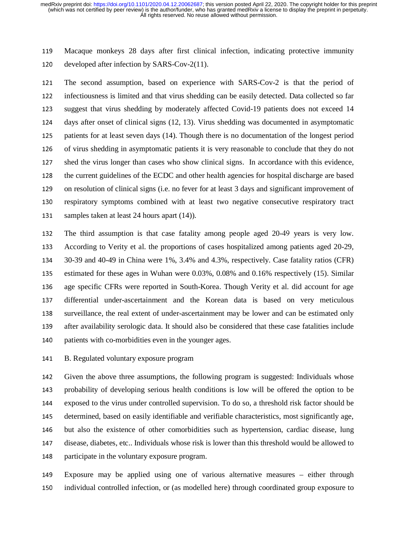<sup>119</sup>Macaque monkeys 28 days after first clinical infection, indicating protective immunity 120 developed after infection by SARS-Cov-2(11).

121 The second assumption, based on experience with SARS-Cov-2 is that the period of 122 infectiousness is limited and that virus shedding can be easily detected. Data collected so far<br>123 suggest that virus shedding by moderately affected Covid-19 patients does not exceed 14 suggest that virus shedding by moderately affected Covid-19 patients does not exceed 14 124 days after onset of clinical signs (12, 13). Virus shedding was documented in asymptomatic<br>125 patients for at least seven days (14). Though there is no documentation of the longest period patients for at least seven days (14). Though there is no documentation of the longest period 126 of virus shedding in asymptomatic patients it is very reasonable to conclude that they do not 127 shed the virus longer than cases who show clinical signs. In accordance with this evidence, 128 the current guidelines of the ECDC and other health agencies for hospital discharge are based 129 on resolution of clinical signs (i.e. no fever for at least 3 days and significant improvement of<br>130 respiratory symptoms combined with at least two negative consecutive respiratory tract respiratory symptoms combined with at least two negative consecutive respiratory tract 131 samples taken at least 24 hours apart (14)).

132 The third assumption is that case fatality among people aged 20-49 years is very low.<br>133 According to Verity et al. the proportions of cases hospitalized among patients aged 20-29. According to Verity et al. the proportions of cases hospitalized among patients aged 20-29, <sup>134</sup>30-39 and 40-49 in China were 1%, 3.4% and 4.3%, respectively. Case fatality ratios (CFR) 135 estimated for these ages in Wuhan were 0.03%, 0.08% and 0.16% respectively (15). Similar 136 age specific CFRs were reported in South-Korea. Though Verity et al. did account for age<br>137 differential under-ascertainment and the Korean data is based on very meticulous <sup>137</sup>differential under-ascertainment and the Korean data is based on very meticulous <sup>138</sup>surveillance, the real extent of under-ascertainment may be lower and can be estimated only 139 after availability serologic data. It should also be considered that these case fatalities include 140 patients with co-morbidities even in the younger ages.

141 B. Regulated voluntary exposure program

142 Given the above three assumptions, the following program is suggested: Individuals whose<br>143 probability of developing serious health conditions is low will be offered the option to be probability of developing serious health conditions is low will be offered the option to be 144 exposed to the virus under controlled supervision. To do so, a threshold risk factor should be<br>145 determined, based on easily identifiable and verifiable characteristics, most significantly age. <sup>145</sup>determined, based on easily identifiable and verifiable characteristics, most significantly age, 146 but also the existence of other comorbidities such as hypertension, cardiac disease, lung <sup>147</sup>disease, diabetes, etc.. Individuals whose risk is lower than this threshold would be allowed to 148 participate in the voluntary exposure program.

<sup>149</sup>Exposure may be applied using one of various alternative measures – either through <sup>150</sup>individual controlled infection, or (as modelled here) through coordinated group exposure to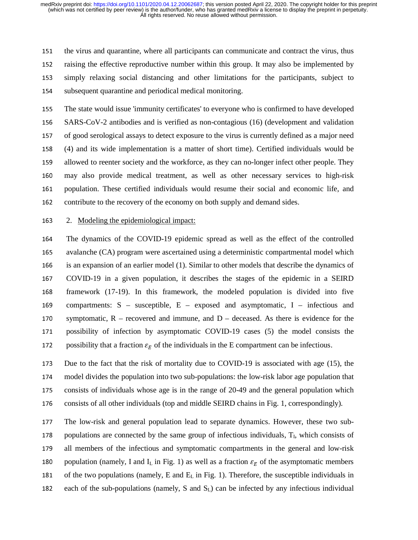151 the virus and quarantine, where all participants can communicate and contract the virus, thus 152 raising the effective reproductive number within this group. It may also be implemented by <sup>153</sup>simply relaxing social distancing and other limitations for the participants, subject to 154 subsequent quarantine and periodical medical monitoring.

155 The state would issue 'immunity certificates' to everyone who is confirmed to have developed <sup>156</sup>SARS-CoV-2 antibodies and is verified as non-contagious (16) (development and validation 157 of good serological assays to detect exposure to the virus is currently defined as a major need <sup>158</sup>(4) and its wide implementation is a matter of short time). Certified individuals would be 159 allowed to reenter society and the workforce, as they can no-longer infect other people. They <sup>160</sup>may also provide medical treatment, as well as other necessary services to high-risk 161 population. These certified individuals would resume their social and economic life, and<br>162 contribute to the recovery of the economy on both supply and demand sides. contribute to the recovery of the economy on both supply and demand sides.

## <sup>163</sup>2. Modeling the epidemiological impact:

164 The dynamics of the COVID-19 epidemic spread as well as the effect of the controlled 165 avalanche (CA) program were ascertained using a deterministic compartmental model which<br>166 is an expansion of an earlier model (1). Similar to other models that describe the dynamics of is an expansion of an earlier model (1). Similar to other models that describe the dynamics of <sup>167</sup>COVID-19 in a given population, it describes the stages of the epidemic in a SEIRD 168 framework (17-19). In this framework, the modeled population is divided into five 169 compartments:  $S$  – susceptible,  $E$  – exposed and asymptomatic, I – infectious and 170 symptomatic,  $R$  – recovered and immune, and  $D$  – deceased. As there is evidence for the 171 possibility of infection by asymptomatic COVID-19 cases (5) the model consists the 172 possibility that a fraction  $\varepsilon_E$  of the individuals in the E compartment can be infectious.

173 Due to the fact that the risk of mortality due to COVID-19 is associated with age (15), the 174 model divides the population into two sub-populations: the low-risk labor age population that<br>175 consists of individuals whose age is in the range of 20-49 and the general population which consists of individuals whose age is in the range of 20-49 and the general population which 176 consists of all other individuals (top and middle SEIRD chains in Fig. 1, correspondingly).

177 The low-risk and general population lead to separate dynamics. However, these two sub-<br>178 populations are connected by the same group of infectious individuals,  $T<sub>1</sub>$ , which consists of populations are connected by the same group of infectious individuals,  $T<sub>I</sub>$ , which consists of 179 all members of the infectious and symptomatic compartments in the general and low-risk 180 population (namely, I and I<sub>L</sub> in Fig. 1) as well as a fraction  $\varepsilon_F$  of the asymptomatic members 181 of the two populations (namely, E and  $E<sub>L</sub>$  in Fig. 1). Therefore, the susceptible individuals in 182 each of the sub-populations (namely, S and  $S_L$ ) can be infected by any infectious individual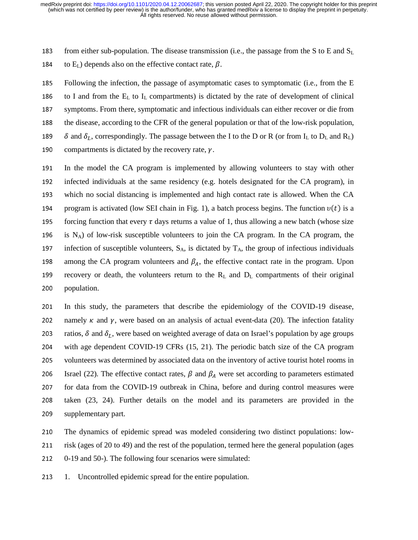183 from either sub-population. The disease transmission (i.e., the passage from the S to E and  $S_L$ )

184 to  $E_L$ ) depends also on the effective contact rate,  $\beta$ .

185 Following the infection, the passage of asymptomatic cases to symptomatic (i.e., from the E 186 to I and from the  $E<sub>L</sub>$  to I<sub>L</sub> compartments) is dictated by the rate of development of clinical 187 symptoms. From there, symptomatic and infectious individuals can either recover or die from 188 the disease, according to the CFR of the general population or that of the low-risk population,<br>189  $\delta$  and  $\delta_t$ , correspondingly. The passage between the I to the D or R (or from I<sub>I</sub> to D<sub>I</sub> and R<sub>I</sub>) 189  $\delta$  and  $\delta_L$ , correspondingly. The passage between the I to the D or R (or from I<sub>L</sub> to D<sub>L</sub> and R<sub>L</sub>) 190 compartments is dictated by the recovery rate,  $\gamma$ .

191 In the model the CA program is implemented by allowing volunteers to stay with other 192 infected individuals at the same residency (e.g. hotels designated for the CA program), in<br>193 which no social distancing is implemented and high contact rate is allowed. When the CA 193 which no social distancing is implemented and high contact rate is allowed. When the CA<br>194 program is activated (low SEI chain in Fig. 1), a batch process begins. The function  $v(t)$  is a 194 program is activated (low SEI chain in Fig. 1), a batch process begins. The function  $v(t)$  is a<br>195 forcing function that every  $\tau$  days returns a value of 1, thus allowing a new batch (whose size forcing function that every  $\tau$  days returns a value of 1, thus allowing a new batch (whose size 196 is N<sub>A</sub>) of low-risk susceptible volunteers to join the CA program. In the CA program, the infection of susceptible volunteers,  $S_A$ , is dictated by  $T_A$ , the group of infectious individuals infection of susceptible volunteers,  $S_A$ , is dictated by  $T_A$ , the group of infectious individuals 198 among the CA program volunteers and  $\beta_A$ , the effective contact rate in the program. Upon 199 recovery or death, the volunteers return to the  $R_L$  and  $D_L$  compartments of their original 200 population. population.

201 In this study, the parameters that describe the epidemiology of the COVID-19 disease, 202 namely  $\kappa$  and  $\gamma$ , were based on an analysis of actual event-data (20). The infection fatality 203 ratios,  $\delta$  and  $\delta_L$ , were based on weighted average of data on Israel's population by age groups 204 with age dependent COVID-19 CFRs (15, 21). The periodic batch size of the CA program 205 volunteers was determined by associated data on the inventory of active tourist hotel rooms in 206 Israel (22). The effective contact rates,  $\beta$  and  $\beta_A$  were set according to parameters estimated 207 for data from the COVID-19 outbreak in China, before and during control measures were 208 taken (23, 24). Further details on the model and its parameters are provided in the 209 supplementary part.

210 The dynamics of epidemic spread was modeled considering two distinct populations: low-211 risk (ages of 20 to 49) and the rest of the population, termed here the general population (ages 212 0-19 and 50-). The following four scenarios were simulated:

213 1. Uncontrolled epidemic spread for the entire population.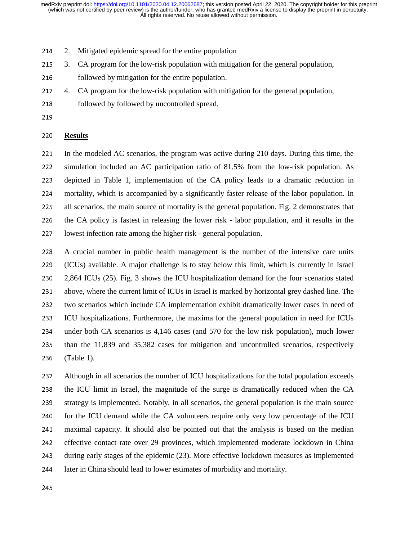- 214 2. Mitigated epidemic spread for the entire population
- 215 3. CA program for the low-risk population with mitigation for the general population,
- 216 followed by mitigation for the entire population.<br>217 4. CA program for the low-risk population with mit
- 4. CA program for the low-risk population with mitigation for the general population,
- 218 followed by followed by uncontrolled spread.
- 

#### <sup>220</sup>**Results**

221 In the modeled AC scenarios, the program was active during 210 days. During this time, the 222 simulation included an AC participation ratio of 81.5% from the low-risk population. As<br>223 depicted in Table 1. implementation of the CA policy leads to a dramatic reduction in depicted in Table 1, implementation of the CA policy leads to a dramatic reduction in 224 mortality, which is accompanied by a significantly faster release of the labor population. In<br>225 all scenarios, the main source of mortality is the general population. Fig. 2 demonstrates that all scenarios, the main source of mortality is the general population. Fig. 2 demonstrates that 226 the CA policy is fastest in releasing the lower risk - labor population, and it results in the 227 lowest infection rate among the higher risk - general population.

<sup>228</sup>A crucial number in public health management is the number of the intensive care units 229 (ICUs) available. A major challenge is to stay below this limit, which is currently in Israel<br>230 2.864 ICUs (25). Fig. 3 shows the ICU hospitalization demand for the four scenarios stated <sup>230</sup>2,864 ICUs (25). Fig. 3 shows the ICU hospitalization demand for the four scenarios stated 231 above, where the current limit of ICUs in Israel is marked by horizontal grey dashed line. The 232 two scenarios which include CA implementation exhibit dramatically lower cases in need of <sup>233</sup>ICU hospitalizations. Furthermore, the maxima for the general population in need for ICUs 234 under both CA scenarios is 4,146 cases (and 570 for the low risk population), much lower<br>235 than the 11,839 and 35,382 cases for mitigation and uncontrolled scenarios, respectively <sup>235</sup>than the 11,839 and 35,382 cases for mitigation and uncontrolled scenarios, respectively <sup>236</sup>(Table 1).

<sup>237</sup>Although in all scenarios the number of ICU hospitalizations for the total population exceeds 238 the ICU limit in Israel, the magnitude of the surge is dramatically reduced when the CA 239 strategy is implemented. Notably, in all scenarios, the general population is the main source<br>240 for the ICU demand while the CA volunteers require only very low percentage of the ICU 240 for the ICU demand while the CA volunteers require only very low percentage of the ICU<br>241 maximal capacity It should also be pointed out that the analysis is based on the median 241 maximal capacity. It should also be pointed out that the analysis is based on the median<br>242 effective contact rate over 29 provinces, which implemented moderate lockdown in China <sup>242</sup>effective contact rate over 29 provinces, which implemented moderate lockdown in China 243 during early stages of the epidemic (23). More effective lockdown measures as implemented<br>244 later in China should lead to lower estimates of morbidity and mortality. later in China should lead to lower estimates of morbidity and mortality.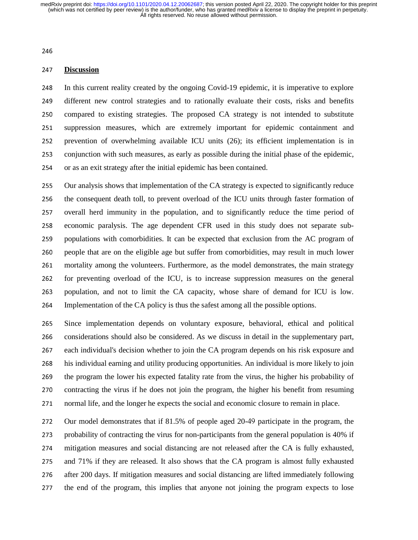# <sup>247</sup>**Discussion**

248 In this current reality created by the ongoing Covid-19 epidemic, it is imperative to explore<br>249 different new control strategies and to rationally evaluate their costs, risks and benefits different new control strategies and to rationally evaluate their costs, risks and benefits 250 compared to existing strategies. The proposed CA strategy is not intended to substitute<br>251 suppression measures, which are extremely important for epidemic containment and suppression measures, which are extremely important for epidemic containment and 252 prevention of overwhelming available ICU units (26); its efficient implementation is in<br>253 conjunction with such measures, as early as possible during the initial phase of the epidemic. <sup>253</sup>conjunction with such measures, as early as possible during the initial phase of the epidemic, 254 or as an exit strategy after the initial epidemic has been contained.

255 Our analysis shows that implementation of the CA strategy is expected to significantly reduce<br>256 the consequent death toll, to prevent overload of the ICU units through faster formation of <sup>256</sup>the consequent death toll, to prevent overload of the ICU units through faster formation of 257 overall herd immunity in the population, and to significantly reduce the time period of<br>258 economic paralysis. The age dependent CFR used in this study does not separate sub-258 economic paralysis. The age dependent CFR used in this study does not separate sub-259 populations with comorbidities. It can be expected that exclusion from the AC program of<br>260 people that are on the eligible age but suffer from comorbidities, may result in much lower <sup>260</sup>people that are on the eligible age but suffer from comorbidities, may result in much lower 261 mortality among the volunteers. Furthermore, as the model demonstrates, the main strategy<br>262 for preventing overload of the ICU, is to increase suppression measures on the general for preventing overload of the ICU, is to increase suppression measures on the general 263 population, and not to limit the CA capacity, whose share of demand for ICU is low. <sup>264</sup>Implementation of the CA policy is thus the safest among all the possible options.

265 Since implementation depends on voluntary exposure, behavioral, ethical and political<br>266 considerations should also be considered. As we discuss in detail in the supplementary part. <sup>266</sup>considerations should also be considered. As we discuss in detail in the supplementary part, 267 each individual's decision whether to join the CA program depends on his risk exposure and <sup>268</sup>his individual earning and utility producing opportunities. An individual is more likely to join 269 the program the lower his expected fatality rate from the virus, the higher his probability of<br>270 contracting the virus if he does not ioin the program, the higher his benefit from resuming contracting the virus if he does not join the program, the higher his benefit from resuming 271 normal life, and the longer he expects the social and economic closure to remain in place.

272 Our model demonstrates that if 81.5% of people aged 20-49 participate in the program, the<br>273 probability of contracting the virus for non-participants from the general population is 40% if probability of contracting the virus for non-participants from the general population is 40% if 274 mitigation measures and social distancing are not released after the CA is fully exhausted, 275 and 71% if they are released. It also shows that the CA program is almost fully exhausted 276 after 200 days. If mitigation measures and social distancing are lifted immediately following 277 the end of the program, this implies that anyone not joining the program expects to lose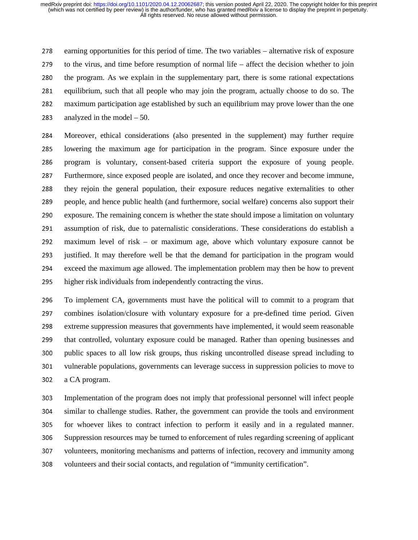278 earning opportunities for this period of time. The two variables – alternative risk of exposure  $279$  to the virus, and time before resumption of normal life – affect the decision whether to join 280 the program. As we explain in the supplementary part, there is some rational expectations<br>281 equilibrium, such that all people who may join the program, actually choose to do so. The <sup>281</sup>equilibrium, such that all people who may join the program, actually choose to do so. The <sup>282</sup>maximum participation age established by such an equilibrium may prove lower than the one 283 analyzed in the model  $-50$ .

<sup>284</sup>Moreover, ethical considerations (also presented in the supplement) may further require <sup>285</sup>lowering the maximum age for participation in the program. Since exposure under the 286 program is voluntary, consent-based criteria support the exposure of young people. <sup>287</sup>Furthermore, since exposed people are isolated, and once they recover and become immune, 288 they rejoin the general population, their exposure reduces negative externalities to other<br>289 people, and hence public health (and furthermore, social welfare) concerns also support their 289 people, and hence public health (and furthermore, social welfare) concerns also support their<br>290 exposure. The remaining concern is whether the state should impose a limitation on voluntary 290 exposure. The remaining concern is whether the state should impose a limitation on voluntary<br>291 assumption of risk, due to paternalistic considerations. These considerations do establish a 291 assumption of risk, due to paternalistic considerations. These considerations do establish a<br>292 maximum level of risk – or maximum age, above which voluntary exposure cannot be  $maximum$  level of risk – or maximum age, above which voluntary exposure cannot be 293 justified. It may therefore well be that the demand for participation in the program would 294 exceed the maximum age allowed. The implementation problem may then be how to prevent 295 higher risk individuals from independently contracting the virus.

296 To implement CA, governments must have the political will to commit to a program that 297 combines isolation/closure with voluntary exposure for a pre-defined time period. Given<br>298 extreme suppression measures that governments have implemented, it would seem reasonable extreme suppression measures that governments have implemented, it would seem reasonable 299 that controlled, voluntary exposure could be managed. Rather than opening businesses and<br>200 public spaces to all low risk groups, thus risking uncontrolled disease spread including to 300 public spaces to all low risk groups, thus risking uncontrolled disease spread including to<br>301 vulnerable populations, governments can leverage success in suppression policies to move to <sup>301</sup>vulnerable populations, governments can leverage success in suppression policies to move to 302 a CA program.

<sup>303</sup>Implementation of the program does not imply that professional personnel will infect people 304 similar to challenge studies. Rather, the government can provide the tools and environment<br>305 for whoever likes to contract infection to perform it easily and in a regulated manner. for whoever likes to contract infection to perform it easily and in a regulated manner. 306 Suppression resources may be turned to enforcement of rules regarding screening of applicant<br>307 volunteers, monitoring mechanisms and patterns of infection, recovery and immunity among <sup>307</sup>volunteers, monitoring mechanisms and patterns of infection, recovery and immunity among 308 volunteers and their social contacts, and regulation of "immunity certification".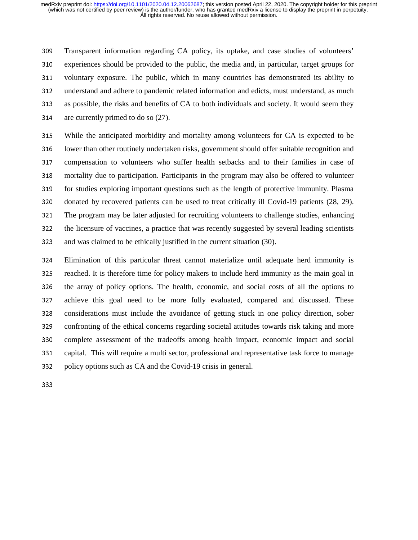<sup>309</sup>Transparent information regarding CA policy, its uptake, and case studies of volunteers' 310 experiences should be provided to the public, the media and, in particular, target groups for 311 voluntary exposure. The public, which in many countries has demonstrated its ability to<br>312 understand and adhere to pandemic related information and edicts, must understand, as much understand and adhere to pandemic related information and edicts, must understand, as much 313 as possible, the risks and benefits of CA to both individuals and society. It would seem they 314 are currently primed to do so  $(27)$ .

<sup>315</sup>While the anticipated morbidity and mortality among volunteers for CA is expected to be 316 lower than other routinely undertaken risks, government should offer suitable recognition and 317 compensation to volunteers who suffer health setbacks and to their families in case of 318 mortality due to participation. Participants in the program may also be offered to volunteer 319 for studies exploring important questions such as the length of protective immunity. Plasma<br>320 donated by recovered patients can be used to treat critically ill Covid-19 patients (28, 29). 320 donated by recovered patients can be used to treat critically ill Covid-19 patients (28, 29).<br>321 The program may be later adjusted for recruiting volunteers to challenge studies, enhancing 321 The program may be later adjusted for recruiting volunteers to challenge studies, enhancing<br>322 the licensure of vaccines, a practice that was recently suggested by several leading scientists the licensure of vaccines, a practice that was recently suggested by several leading scientists 323 and was claimed to be ethically justified in the current situation (30).

<sup>324</sup>Elimination of this particular threat cannot materialize until adequate herd immunity is 325 reached. It is therefore time for policy makers to include herd immunity as the main goal in 326 the array of policy options. The health, economic, and social costs of all the options to<br>327 achieve this goal need to be more fully evaluated, compared and discussed. These achieve this goal need to be more fully evaluated, compared and discussed. These 328 considerations must include the avoidance of getting stuck in one policy direction, sober 329 confronting of the ethical concerns regarding societal attitudes towards risk taking and more 330 complete assessment of the tradeoffs among health impact, economic impact and social 331 capital. This will require a multi sector, professional and representative task force to manage 332 policy options such as CA and the Covid-19 crisis in general.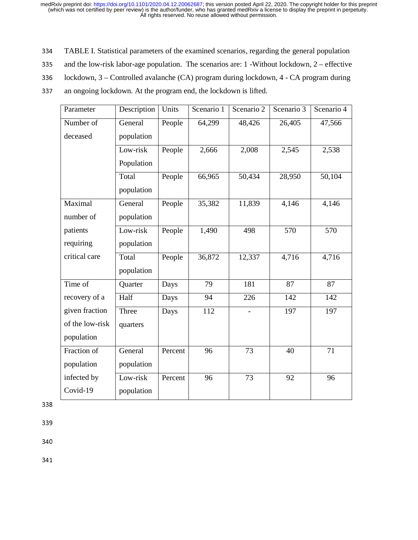- 334 TABLE I. Statistical parameters of the examined scenarios, regarding the general population<br>335 and the low-risk labor-age population. The scenarios are: 1 -Without lockdown, 2 effective
- 335 and the low-risk labor-age population. The scenarios are: 1 -Without lockdown,  $2$  effective<br>336 lockdown, 3 Controlled avalanche (CA) program during lockdown, 4 CA program during
- lockdown, 3 Controlled avalanche (CA) program during lockdown, 4 CA program during
- 337 an ongoing lockdown. At the program end, the lockdown is lifted.

| Parameter       | Description | Units   | Scenario 1 | Scenario 2 | Scenario 3 | Scenario 4 |
|-----------------|-------------|---------|------------|------------|------------|------------|
| Number of       | General     | People  | 64,299     | 48,426     | 26,405     | 47,566     |
| deceased        | population  |         |            |            |            |            |
|                 | Low-risk    | People  | 2,666      | 2,008      | 2,545      | 2,538      |
|                 | Population  |         |            |            |            |            |
|                 | Total       | People  | 66,965     | 50,434     | 28,950     | 50,104     |
|                 | population  |         |            |            |            |            |
| Maximal         | General     | People  | 35,382     | 11,839     | 4,146      | 4,146      |
| number of       | population  |         |            |            |            |            |
| patients        | Low-risk    | People  | 1,490      | 498        | 570        | 570        |
| requiring       | population  |         |            |            |            |            |
| critical care   | Total       | People  | 36,872     | 12,337     | 4,716      | 4,716      |
|                 | population  |         |            |            |            |            |
| Time of         | Quarter     | Days    | 79         | 181        | 87         | 87         |
| recovery of a   | Half        | Days    | 94         | 226        | 142        | 142        |
| given fraction  | Three       | Days    | 112        |            | 197        | 197        |
| of the low-risk | quarters    |         |            |            |            |            |
| population      |             |         |            |            |            |            |
| Fraction of     | General     | Percent | 96         | 73         | 40         | 71         |
| population      | population  |         |            |            |            |            |
| infected by     | Low-risk    | Percent | 96         | 73         | 92         | 96         |
| Covid-19        | population  |         |            |            |            |            |

339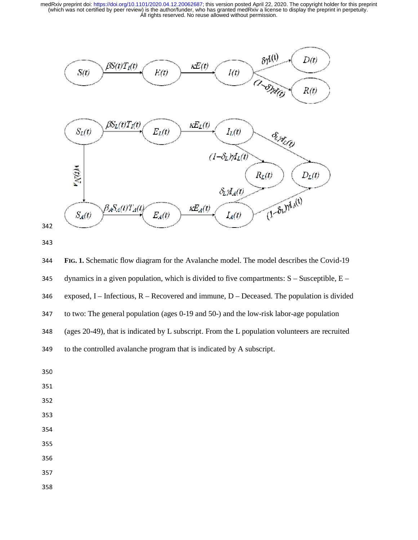



<sup>344</sup>**FIG. 1.** Schematic flow diagram for the Avalanche model. The model describes the Covid-19 345 dynamics in a given population, which is divided to five compartments:  $S -$ Susceptible,  $E -$ 346 exposed, I – Infectious,  $R$  – Recovered and immune, D – Deceased. The population is divided 347 to two: The general population (ages 0-19 and 50-) and the low-risk labor-age population 348 (ages 20-49), that is indicated by L subscript. From the L population volunteers are recruited 349 to the controlled avalanche program that is indicated by A subscript.

- 
- 
- 
- 
- 354
- 355
- 
- 357
- 358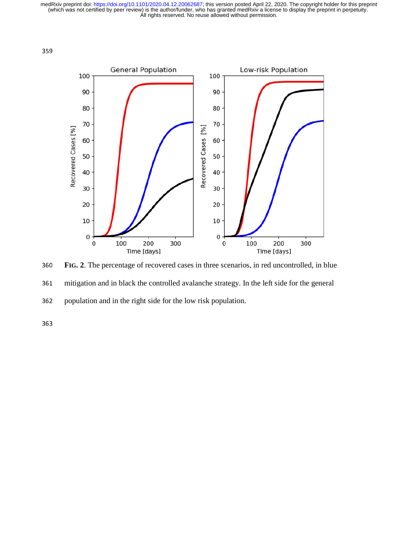



<sup>360</sup>**FIG. 2**. The percentage of recovered cases in three scenarios, in red uncontrolled, in blue 361 mitigation and in black the controlled avalanche strategy. In the left side for the general 362 population and in the right side for the low risk population.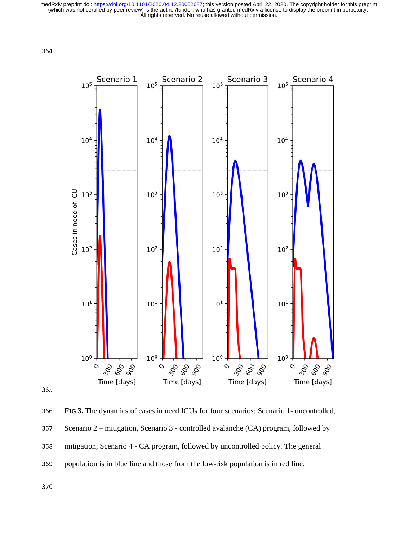



<sup>366</sup>**FIG 3.** The dynamics of cases in need ICUs for four scenarios: Scenario 1- uncontrolled, 367 Scenario 2 – mitigation, Scenario 3 - controlled avalanche (CA) program, followed by 368 mitigation, Scenario 4 - CA program, followed by uncontrolled policy. The general 369 population is in blue line and those from the low-risk population is in red line.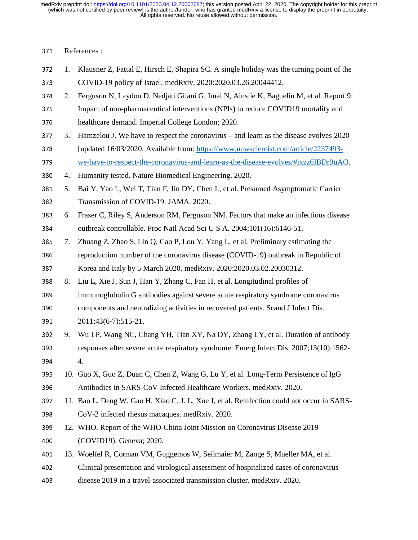## 371 References :

- 372 1. Klausner Z, Fattal E, Hirsch E, Shapira SC. A single holiday was the turning point of the<br>373 COVID-19 policy of Israel. medRxiv. 2020:2020.03.26.20044412. <sup>373</sup>COVID-19 policy of Israel. medRxiv. 2020:2020.03.26.20044412.
- 374 2. Ferguson N, Laydon D, Nedjati Gilani G, Imai N, Ainslie K, Baguelin M, et al. Report 9:<br>375 Impact of non-pharmaceutical interventions (NPIs) to reduce COVID19 mortality and
- Impact of non-pharmaceutical interventions (NPIs) to reduce COVID19 mortality and 376 healthcare demand. Imperial College London; 2020.
- <sup>377</sup>3. Hamzelou J. We have to respect the coronavirus and learn as the disease evolves 2020
- 378 [updated 16/03/2020. Available from: https://www.newscientist.com/article/2237493-<br>379 we-have-to-respect-the-coronavirus-and-learn-as-the-disease-evolves/#ixzz6IBDr9uA0 we-have-to-respect-the-coronavirus-and-learn-as-the-disease-evolves/#ixzz6IBDr9uAO.
- <sup>380</sup>4. Humanity tested. Nature Biomedical Engineering. 2020.
- 381 5. Bai Y, Yao L, Wei T, Tian F, Jin DY, Chen L, et al. Presumed Asymptomatic Carrier<br>382 Transmission of COVID-19. JAMA. 2020. 382 Transmission of COVID-19. JAMA. 2020.<br>383 6. Fraser C. Rilev S. Anderson RM. Ferguson
- 383 6. Fraser C, Riley S, Anderson RM, Ferguson NM. Factors that make an infectious disease<br>384 outbreak controllable. Proc Natl Acad Sci U S A. 2004;101(16):6146-51. 384 outbreak controllable. Proc Natl Acad Sci U S A. 2004;101(16):6146-51.<br>385 7. Zhuang Z. Zhao S. Lin O. Cao P. Lou Y. Yang L. et al. Preliminary estim
- <sup>385</sup>7. Zhuang Z, Zhao S, Lin Q, Cao P, Lou Y, Yang L, et al. Preliminary estimating the 386 reproduction number of the coronavirus disease (COVID-19) outbreak in Republic of
- 387 Korea and Italy by 5 March 2020. medRxiv. 2020:2020.03.02.20030312.<br>388 8. Liu L. Xie J. Sun J. Han Y. Zhang C. Fan H. et al. Longitudinal profiles of
- 8. Liu L, Xie J, Sun J, Han Y, Zhang C, Fan H, et al. Longitudinal profiles of
- <sup>389</sup>immunoglobulin G antibodies against severe acute respiratory syndrome coronavirus
- 390 components and neutralizing activities in recovered patients. Scand J Infect Dis.
- 391 2011;43(6-7):515-21.<br>392 9. Wu LP, Wang NC, Cl
- 9. Wu LP, Wang NC, Chang YH, Tian XY, Na DY, Zhang LY, et al. Duration of antibody 393 responses after severe acute respiratory syndrome. Emerg Infect Dis. 2007;13(10):1562-
- 394 4.
- 395 10. Guo X, Guo Z, Duan C, Chen Z, Wang G, Lu Y, et al. Long-Term Persistence of IgG 396 Antibodies in SARS-CoV Infected Healthcare Workers. medRxiv. 2020.<br>397 11. Bao L. Deng W. Gao H. Xiao C. J. L. Xue J. et al. Reinfection could not
- 11. Bao L, Deng W, Gao H, Xiao C, J. L, Xue J, et al. Reinfection could not occur in SARS-
- 398 CoV-2 infected rhesus macaques. medRxiv. 2020.<br>399 12. WHO. Report of the WHO-China Joint Mission on 12. WHO. Report of the WHO-China Joint Mission on Coronavirus Disease 2019
- 400 (COVID19). Geneva; 2020.<br>401 13. Woelfel R. Corman VM. Gu 13. Woelfel R, Corman VM, Guggemos W, Seilmaier M, Zange S, Mueller MA, et al.
- <sup>402</sup>Clinical presentation and virological assessment of hospitalized cases of coronavirus
- 403 disease 2019 in a travel-associated transmission cluster. medRxiv. 2020.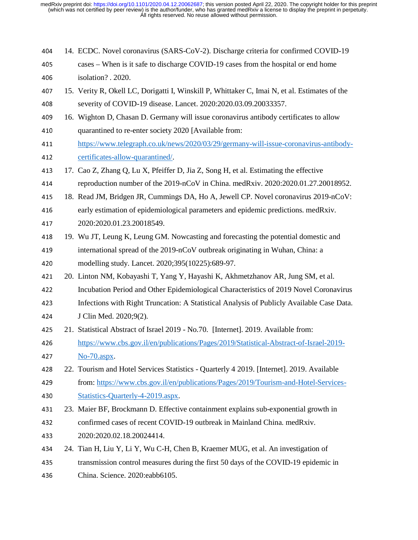- <sup>404</sup>14. ECDC. Novel coronavirus (SARS-CoV-2). Discharge criteria for confirmed COVID-19
- 405 cases When is it safe to discharge COVID-19 cases from the hospital or end home
- 406 isolation? . 2020.<br>407 15. Verity R. Okell L. <sup>407</sup>15. Verity R, Okell LC, Dorigatti I, Winskill P, Whittaker C, Imai N, et al. Estimates of the 408 severity of COVID-19 disease. Lancet. 2020:2020.03.09.20033357.
- 409 16. Wighton D, Chasan D. Germany will issue coronavirus antibody certificates to allow 410 quarantined to re-enter society 2020 [Available from:
- 411 https://www.telegraph.co.uk/news/2020/03/29/germany-will-issue-coronavirus-antibody-<br>412 certificates-allow-quarantined/. 412 certificates-allow-quarantined/.<br>413 17. Cao Z. Zhang O. Lu X. Pfeiffer
- 413 17. Cao Z, Zhang Q, Lu X, Pfeiffer D, Jia Z, Song H, et al. Estimating the effective<br>414 reproduction number of the 2019-nCoV in China. medRxiv. 2020:2020.01.27.20
- <sup>414</sup>reproduction number of the 2019-nCoV in China. medRxiv. 2020:2020.01.27.20018952.
- 415 18. Read JM, Bridgen JR, Cummings DA, Ho A, Jewell CP. Novel coronavirus 2019-nCoV:<br>416 early estimation of epidemiological parameters and epidemic predictions. medRxiv.
- early estimation of epidemiological parameters and epidemic predictions. medRxiv.
- 417 2020:2020.01.23.20018549.<br>418 19. Wu JT, Leung K, Leung GM 19. Wu JT, Leung K, Leung GM. Nowcasting and forecasting the potential domestic and 419 international spread of the 2019-nCoV outbreak originating in Wuhan, China: a<br>420 modelling study. Lancet. 2020:395(10225):689-97. modelling study. Lancet. 2020;395(10225):689-97.
- 421 20. Linton NM, Kobayashi T, Yang Y, Hayashi K, Akhmetzhanov AR, Jung SM, et al.<br>422 Incubation Period and Other Epidemiological Characteristics of 2019 Novel Corona
- Incubation Period and Other Epidemiological Characteristics of 2019 Novel Coronavirus
- 123 Infections with Right Truncation: A Statistical Analysis of Publicly Available Case Data.<br>124 J Clin Med. 2020:9(2).
- J Clin Med. 2020;9(2).
- 21. Statistical Abstract of Israel 2019 No.70. [Internet]. 2019. Available from:<br>426 https://www.chs.gov.jl/en/publications/Pages/2019/Statistical-Abstract-of-Isr
- 426 https://www.cbs.gov.il/en/publications/Pages/2019/Statistical-Abstract-of-Israel-2019-<br>427 No-70.aspx.  $No-70.$ aspx.
- 428 22. Tourism and Hotel Services Statistics Quarterly 4 2019. [Internet]. 2019. Available 429 from: https://www.cbs.gov.il/en/publications/Pages/2019/Tourism-and-Hotel-Service from: https://www.cbs.gov.il/en/publications/Pages/2019/Tourism-and-Hotel-Services-
- 430 Statistics-Quarterly-4-2019.aspx.<br>431 23. Maier BF. Brockmann D. Effectiv 23. Maier BF, Brockmann D. Effective containment explains sub-exponential growth in 432 confirmed cases of recent COVID-19 outbreak in Mainland China. medRxiv. <sup>433</sup>2020:2020.02.18.20024414.
- <sup>434</sup>24. Tian H, Liu Y, Li Y, Wu C-H, Chen B, Kraemer MUG, et al. An investigation of
- <sup>435</sup>transmission control measures during the first 50 days of the COVID-19 epidemic in
- 436 China. Science. 2020:eabb6105.